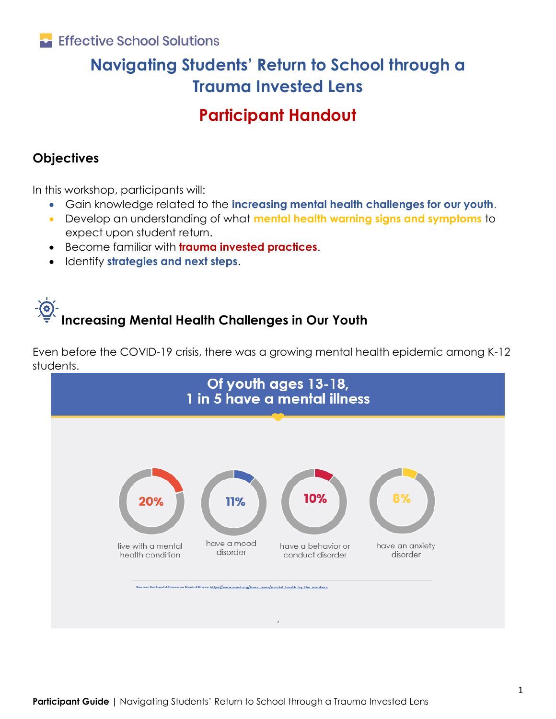### Effective School Solutions

## **Navigating Students' Return to School through a Trauma Invested Lens**

### **Participant Handout**

### **Objectives**

In this workshop, participants will:

- Gain knowledge related to the **increasing mental health challenges for our youth**.
- Develop an understanding of what **mental health warning signs and symptoms** to expect upon student return.
- Become familiar with **trauma invested practices**.
- Identify **strategies and next steps**.

# **Increasing Mental Health Challenges in Our Youth**

Even before the COVID-19 crisis, there was a growing mental health epidemic among K-12 students.

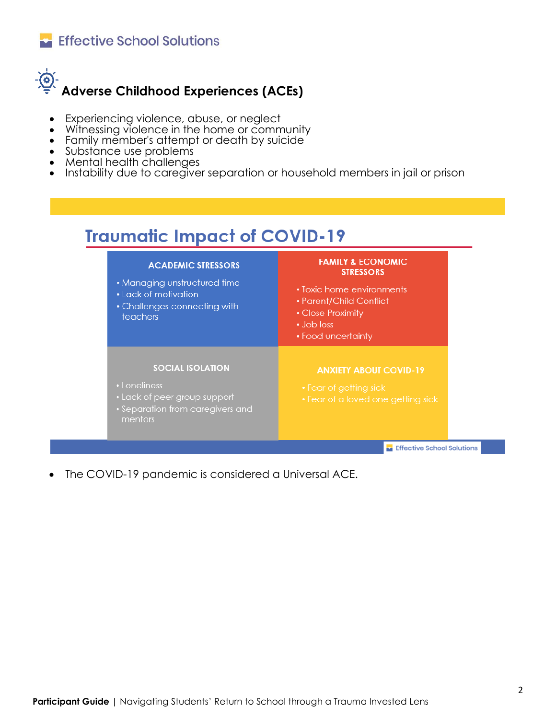



- Experiencing violence, abuse, or neglect
- Witnessing violence in the home or community
- Family member's attempt or death by suicide
- Substance use problems
- Mental health challenges
- Instability due to caregiver separation or household members in jail or prison

# **Traumatic Impact of COVID-19**

| <b>ACADEMIC STRESSORS</b><br>• Managing unstructured time<br><b>.</b> Lack of motivation<br>• Challenges connecting with<br>teachers | <b>FAMILY &amp; ECONOMIC</b><br><b>STRESSORS</b><br>• Toxic home environments<br>• Parent/Child Conflict<br>• Close Proximity<br>$\bullet$ Job loss<br>• Food uncertainty |  |  |
|--------------------------------------------------------------------------------------------------------------------------------------|---------------------------------------------------------------------------------------------------------------------------------------------------------------------------|--|--|
| <b>SOCIAL ISOLATION</b><br>• Loneliness<br>• Lack of peer group support<br>• Separation from caregivers and<br>mentors               | <b>ANXIETY ABOUT COVID-19</b><br>• Fear of getting sick<br>• Fear of a loved one getting sick                                                                             |  |  |
| <b>Effective School Solution:</b>                                                                                                    |                                                                                                                                                                           |  |  |

The COVID-19 pandemic is considered a Universal ACE.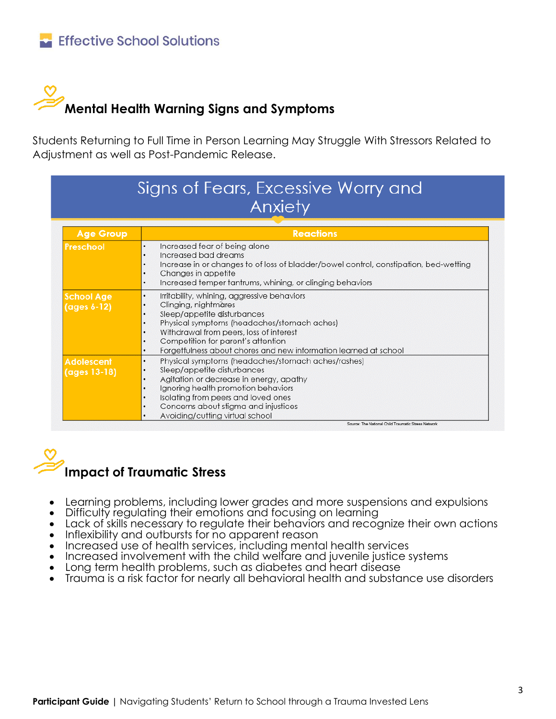# **Mental Health Warning Signs and Symptoms**

Students Returning to Full Time in Person Learning May Struggle With Stressors Related to Adjustment as well as Post-Pandemic Release.

| Signs of Fears, Excessive Worry and<br>Anxiety |                                                                                                                                                                                                                                                                                                                                 |  |  |
|------------------------------------------------|---------------------------------------------------------------------------------------------------------------------------------------------------------------------------------------------------------------------------------------------------------------------------------------------------------------------------------|--|--|
| <b>Age Group</b>                               | <b>Reactions</b>                                                                                                                                                                                                                                                                                                                |  |  |
| Preschool                                      | Increased fear of being alone<br>Increased bad dreams<br>٠<br>Increase in or changes to of loss of bladder/bowel control, constipation, bed-wetting<br>٠<br>Changes in appetite<br>٠<br>Increased temper tantrums, whining, or clinging behaviors<br>٠                                                                          |  |  |
| <b>School Age</b><br>(ages 6-12)               | Irritability, whining, aggressive behaviors<br>٠<br>Clinging, nightmares<br>Sleep/appetite disturbances<br>Physical symptoms (headaches/stomach aches)<br>٠<br>Withdrawal from peers, loss of interest<br>٠<br>Competition for parent's attention<br>٠<br>Forgetfulness about chores and new information learned at school<br>٠ |  |  |
| <b>Adolescent</b><br>(ages 13-18)              | Physical symptoms (headaches/stomach aches/rashes)<br>٠<br>Sleep/appetite disturbances<br>Agitation or decrease in energy, apathy<br>٠<br>Ignoring health promotion behaviors<br>٠<br>Isolating from peers and loved ones<br>٠<br>Concerns about stigma and injustices<br>٠<br>Avoiding/cutting virtual school                  |  |  |

# **Impact of Traumatic Stress**

- Learning problems, including lower grades and more suspensions and expulsions
- Difficulty regulating their emotions and focusing on learning
- Lack of skills necessary to regulate their behaviors and recognize their own actions
- Inflexibility and outbursts for no apparent reason
- Increased use of health services, including mental health services
- Increased involvement with the child welfare and juvenile justice systems
- Long term health problems, such as diabetes and heart disease
- Trauma is a risk factor for nearly all behavioral health and substance use disorders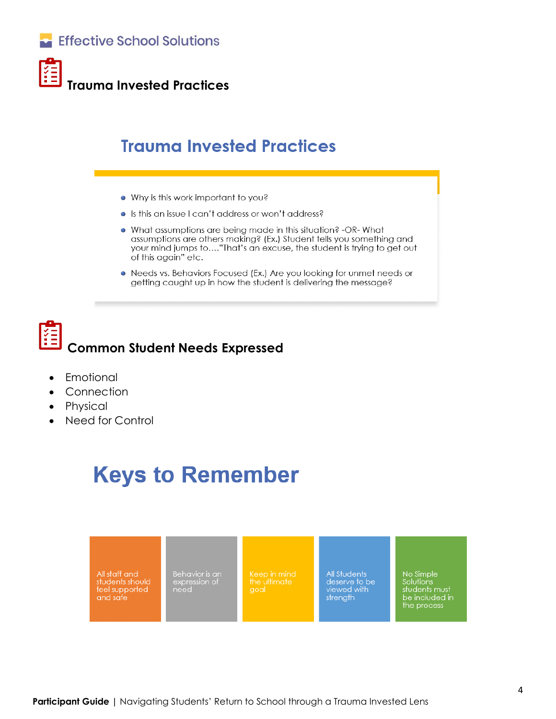



**Trauma Invested Practices**

## **Trauma Invested Practices**

- . Why is this work important to you?
- Is this an issue I can't address or won't address?
- . What assumptions are being made in this situation? -OR-What assumptions are others making? (Ex.) Student tells you something and your mind jumps to...."That's an excuse, the student is trying to get out of this again" etc.
- Needs vs. Behaviors Focused (Ex.) Are you looking for unmet needs or getting caught up in how the student is delivering the message?

# **Common Student Needs Expressed**

- **Emotional**
- **Connection**
- Physical
- Need for Control

# **Keys to Remember**

All staff and students should feel supported<br>and safe

Behavior is an<br>expression of<br>need

**All Students** deserve to be viewed with

No Simple Solutions sudents<br>
must<br>
be included in the process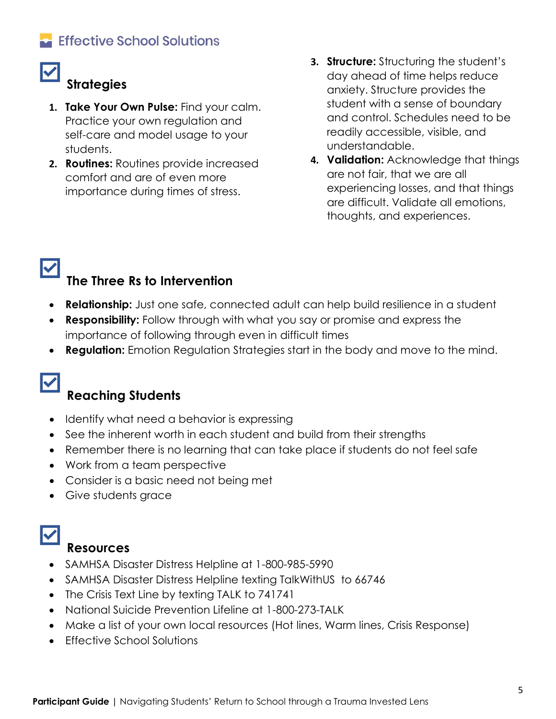### Effective School Solutions

### **Strategies**

- **1. Take Your Own Pulse:** Find your calm. Practice your own regulation and self-care and model usage to your students.
- **2. Routines:** Routines provide increased comfort and are of even more importance during times of stress.
- **3. Structure:** Structuring the student's day ahead of time helps reduce anxiety. Structure provides the student with a sense of boundary and control. Schedules need to be readily accessible, visible, and understandable.
- **4. Validation:** Acknowledge that things are not fair, that we are all experiencing losses, and that things are difficult. Validate all emotions, thoughts, and experiences.

## **The Three Rs to Intervention**

- **Relationship:** Just one safe, connected adult can help build resilience in a student
- **Responsibility:** Follow through with what you say or promise and express the importance of following through even in difficult times
- **Regulation:** Emotion Regulation Strategies start in the body and move to the mind.

## $\blacktriangledown$

 $\blacktriangledown$ 

### **Reaching Students**

- Identify what need a behavior is expressing
- See the inherent worth in each student and build from their strengths
- Remember there is no learning that can take place if students do not feel safe
- Work from a team perspective
- Consider is a basic need not being met
- Give students grace

### **Resources**

- SAMHSA Disaster Distress Helpline at 1-800-985-5990
- SAMHSA Disaster Distress Helpline texting TalkWithUS to 66746
- The Crisis Text Line by texting TALK to 741741
- National Suicide Prevention Lifeline at 1-800-273-TALK
- Make a list of your own local resources (Hot lines, Warm lines, Crisis Response)
- Effective School Solutions